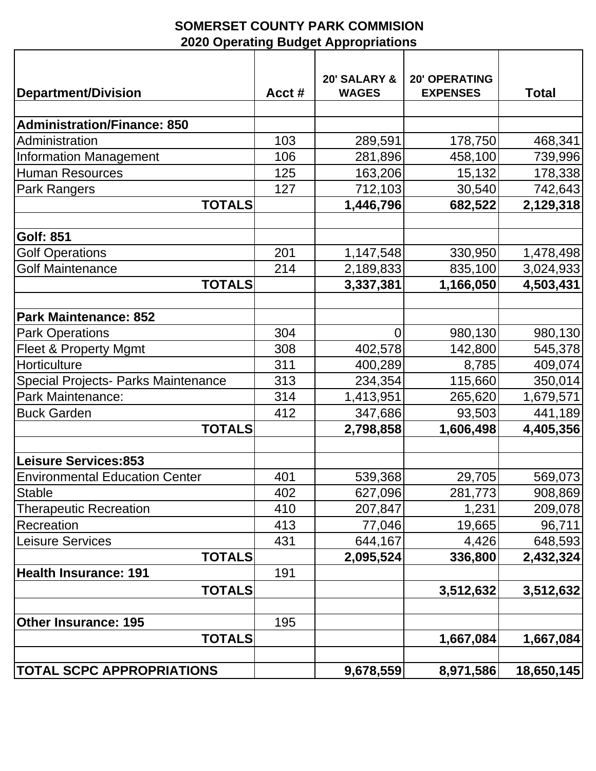## **SOMERSET COUNTY PARK COMMISION 2020 Operating Budget Appropriations**

|                                       |       | 20' SALARY &   | <b>20' OPERATING</b> |              |
|---------------------------------------|-------|----------------|----------------------|--------------|
| Department/Division                   | Acct# | <b>WAGES</b>   | <b>EXPENSES</b>      | <b>Total</b> |
|                                       |       |                |                      |              |
| <b>Administration/Finance: 850</b>    |       |                |                      |              |
| Administration                        | 103   | 289,591        | 178,750              | 468,341      |
| Information Management                | 106   | 281,896        | 458,100              | 739,996      |
| <b>Human Resources</b>                | 125   | 163,206        | 15,132               | 178,338      |
| Park Rangers                          | 127   | 712,103        | 30,540               | 742,643      |
| <b>TOTALS</b>                         |       | 1,446,796      | 682,522              | 2,129,318    |
|                                       |       |                |                      |              |
| <b>Golf: 851</b>                      |       |                |                      |              |
| <b>Golf Operations</b>                | 201   | 1,147,548      | 330,950              | 1,478,498    |
| <b>Golf Maintenance</b>               | 214   | 2,189,833      | 835,100              | 3,024,933    |
| <b>TOTALS</b>                         |       | 3,337,381      | 1,166,050            | 4,503,431    |
|                                       |       |                |                      |              |
| <b>Park Maintenance: 852</b>          |       |                |                      |              |
| <b>Park Operations</b>                | 304   | $\overline{0}$ | 980,130              | 980,130      |
| <b>Fleet &amp; Property Mgmt</b>      | 308   | 402,578        | 142,800              | 545,378      |
| <b>Horticulture</b>                   | 311   | 400,289        | 8,785                | 409,074      |
| Special Projects- Parks Maintenance   | 313   | 234,354        | 115,660              | 350,014      |
| <b>Park Maintenance:</b>              | 314   | 1,413,951      | 265,620              | 1,679,571    |
| <b>Buck Garden</b>                    | 412   | 347,686        | 93,503               | 441,189      |
| <b>TOTALS</b>                         |       | 2,798,858      | 1,606,498            | 4,405,356    |
|                                       |       |                |                      |              |
| <b>Leisure Services:853</b>           |       |                |                      |              |
| <b>Environmental Education Center</b> | 401   | 539,368        | 29,705               | 569,073      |
| Stable                                | 402   | 627,096        | 281,773              | 908,869      |
| <b>Therapeutic Recreation</b>         | 410   | 207,847        | 1,231                | 209,078      |
| Recreation                            | 413   | 77,046         | 19,665               | 96,711       |
| <b>Leisure Services</b>               | 431   | 644,167        | 4,426                | 648,593      |
| <b>TOTALS</b>                         |       | 2,095,524      | 336,800              | 2,432,324    |
| Health Insurance: 191                 | 191   |                |                      |              |
| <b>TOTALS</b>                         |       |                | 3,512,632            | 3,512,632    |
|                                       |       |                |                      |              |
| <b>Other Insurance: 195</b>           | 195   |                |                      |              |
| <b>TOTALS</b>                         |       |                | 1,667,084            | 1,667,084    |
|                                       |       |                |                      |              |
| <b>TOTAL SCPC APPROPRIATIONS</b>      |       | 9,678,559      | 8,971,586            | 18,650,145   |